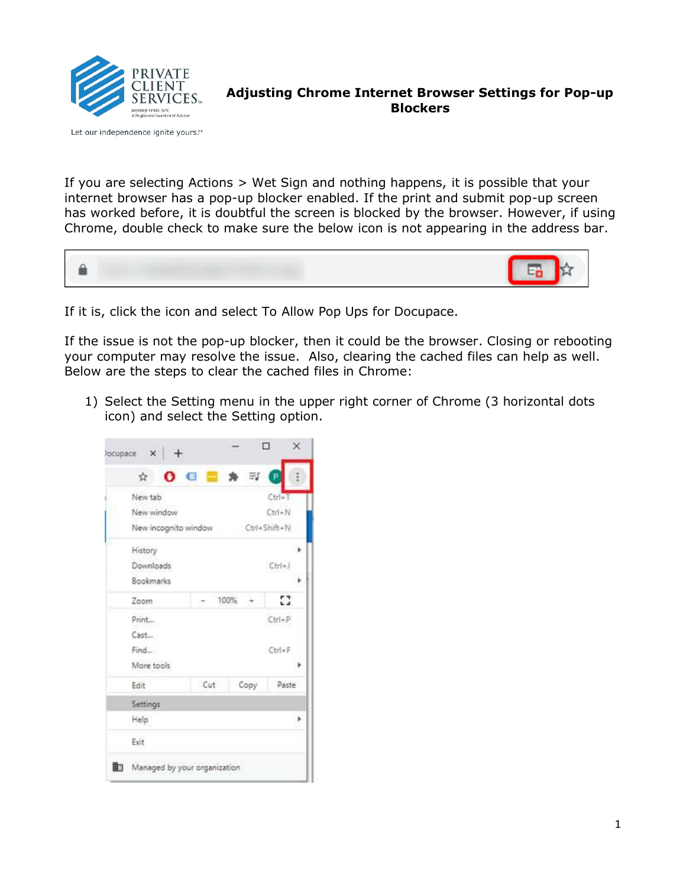

Let our independence ignite yours.™

**Adjusting Chrome Internet Browser Settings for Pop-up Blockers**

If you are selecting Actions > Wet Sign and nothing happens, it is possible that your internet browser has a pop-up blocker enabled. If the print and submit pop-up screen has worked before, it is doubtful the screen is blocked by the browser. However, if using Chrome, double check to make sure the below icon is not appearing in the address bar.



If it is, click the icon and select To Allow Pop Ups for Docupace.

If the issue is not the pop-up blocker, then it could be the browser. Closing or rebooting your computer may resolve the issue. Also, clearing the cached files can help as well. Below are the steps to clear the cached files in Chrome:

1) Select the Setting menu in the upper right corner of Chrome (3 horizontal dots icon) and select the Setting option.

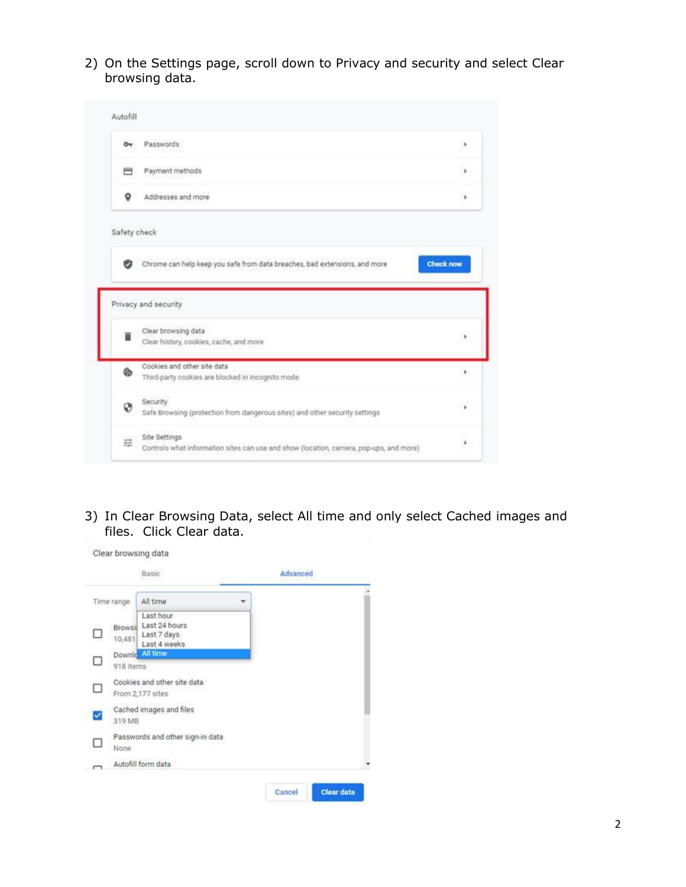2) On the Settings page, scroll down to Privacy and security and select Clear browsing data.



3) In Clear Browsing Data, select All time and only select Cached images and files. Click Clear data.